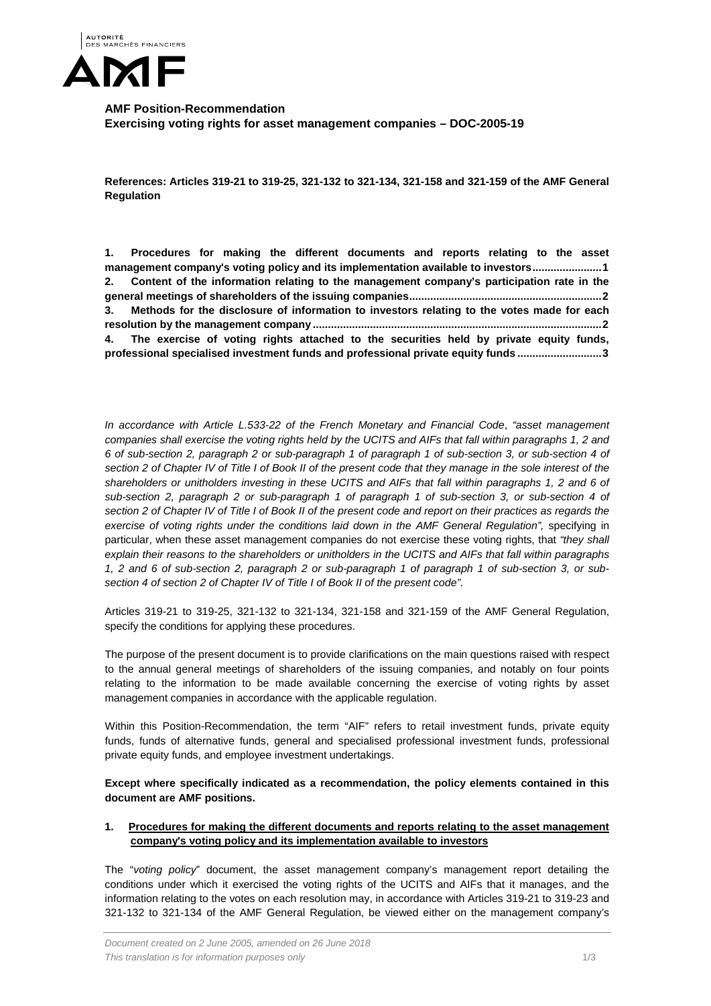

**AMF Position-Recommendation Exercising voting rights for asset management companies – DOC-2005-19**

**References: Articles 319-21 to 319-25, 321-132 to 321-134, 321-158 and 321-159 of the AMF General Regulation**

|                                                                                              | 1. Procedures for making the different documents and reports relating to the asset            |  |  |  |  |  |  |  |
|----------------------------------------------------------------------------------------------|-----------------------------------------------------------------------------------------------|--|--|--|--|--|--|--|
| management company's voting policy and its implementation available to investors1            |                                                                                               |  |  |  |  |  |  |  |
| 2. Content of the information relating to the management company's participation rate in the |                                                                                               |  |  |  |  |  |  |  |
|                                                                                              |                                                                                               |  |  |  |  |  |  |  |
|                                                                                              | 3. Methods for the disclosure of information to investors relating to the votes made for each |  |  |  |  |  |  |  |
|                                                                                              |                                                                                               |  |  |  |  |  |  |  |
|                                                                                              | 4. The exercise of voting rights attached to the securities held by private equity funds,     |  |  |  |  |  |  |  |
| professional specialised investment funds and professional private equity funds 3            |                                                                                               |  |  |  |  |  |  |  |

*In accordance with Article L.533-22 of the French Monetary and Financial Code*, *"asset management companies shall exercise the voting rights held by the UCITS and AIFs that fall within paragraphs 1, 2 and 6 of sub-section 2, paragraph 2 or sub-paragraph 1 of paragraph 1 of sub-section 3, or sub-section 4 of section 2 of Chapter IV of Title I of Book II of the present code that they manage in the sole interest of the shareholders or unitholders investing in these UCITS and AIFs that fall within paragraphs 1, 2 and 6 of sub-section 2, paragraph 2 or sub-paragraph 1 of paragraph 1 of sub-section 3, or sub-section 4 of section 2 of Chapter IV of Title I of Book II of the present code and report on their practices as regards the exercise of voting rights under the conditions laid down in the AMF General Regulation", specifying in* particular, when these asset management companies do not exercise these voting rights, that *"they shall explain their reasons to the shareholders or unitholders in the UCITS and AIFs that fall within paragraphs 1, 2 and 6 of sub-section 2, paragraph 2 or sub-paragraph 1 of paragraph 1 of sub-section 3, or subsection 4 of section 2 of Chapter IV of Title I of Book II of the present code".*

Articles 319-21 to 319-25, 321-132 to 321-134, 321-158 and 321-159 of the AMF General Regulation, specify the conditions for applying these procedures.

The purpose of the present document is to provide clarifications on the main questions raised with respect to the annual general meetings of shareholders of the issuing companies, and notably on four points relating to the information to be made available concerning the exercise of voting rights by asset management companies in accordance with the applicable regulation.

Within this Position-Recommendation, the term "AIF" refers to retail investment funds, private equity funds, funds of alternative funds, general and specialised professional investment funds, professional private equity funds, and employee investment undertakings.

**Except where specifically indicated as a recommendation, the policy elements contained in this document are AMF positions.**

### <span id="page-0-0"></span>**1. Procedures for making the different documents and reports relating to the asset management company's voting policy and its implementation available to investors**

The "*voting policy*" document, the asset management company's management report detailing the conditions under which it exercised the voting rights of the UCITS and AIFs that it manages, and the information relating to the votes on each resolution may, in accordance with Articles 319-21 to 319-23 and 321-132 to 321-134 of the AMF General Regulation, be viewed either on the management company's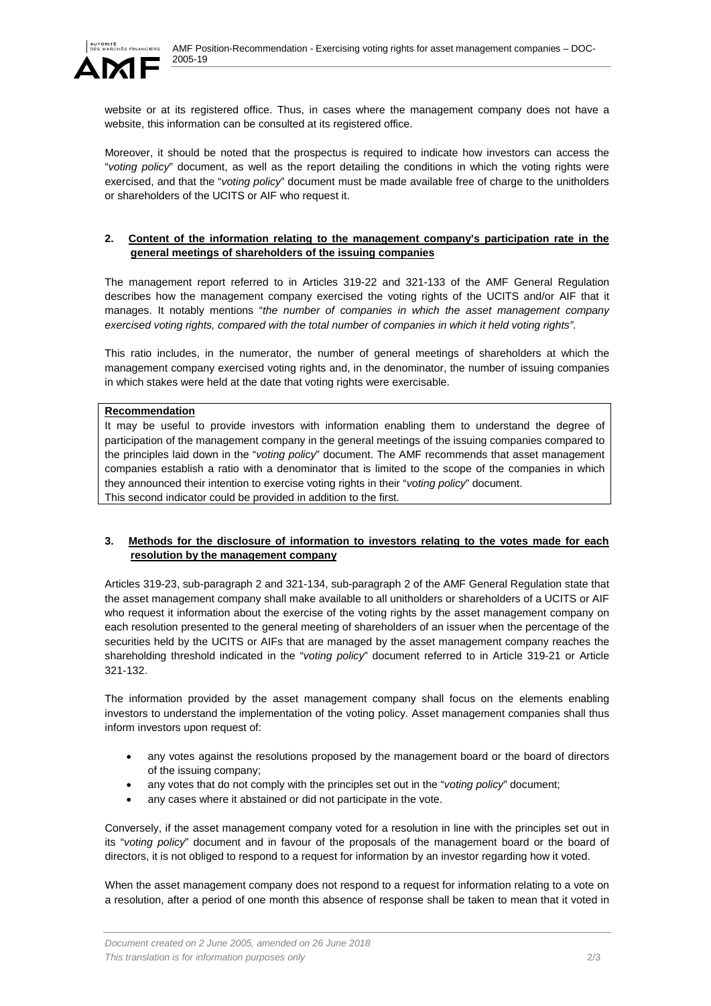

website or at its registered office. Thus, in cases where the management company does not have a website, this information can be consulted at its registered office.

Moreover, it should be noted that the prospectus is required to indicate how investors can access the "*voting policy*" document, as well as the report detailing the conditions in which the voting rights were exercised, and that the "*voting policy*" document must be made available free of charge to the unitholders or shareholders of the UCITS or AIF who request it.

### <span id="page-1-0"></span>**2. Content of the information relating to the management company's participation rate in the general meetings of shareholders of the issuing companies**

The management report referred to in Articles 319-22 and 321-133 of the AMF General Regulation describes how the management company exercised the voting rights of the UCITS and/or AIF that it manages. It notably mentions "*the number of companies in which the asset management company exercised voting rights, compared with the total number of companies in which it held voting rights"*.

This ratio includes, in the numerator, the number of general meetings of shareholders at which the management company exercised voting rights and, in the denominator, the number of issuing companies in which stakes were held at the date that voting rights were exercisable.

### **Recommendation**

It may be useful to provide investors with information enabling them to understand the degree of participation of the management company in the general meetings of the issuing companies compared to the principles laid down in the "*voting policy*" document. The AMF recommends that asset management companies establish a ratio with a denominator that is limited to the scope of the companies in which they announced their intention to exercise voting rights in their "*voting policy*" document. This second indicator could be provided in addition to the first.

# <span id="page-1-1"></span>**3. Methods for the disclosure of information to investors relating to the votes made for each resolution by the management company**

Articles 319-23, sub-paragraph 2 and 321-134, sub-paragraph 2 of the AMF General Regulation state that the asset management company shall make available to all unitholders or shareholders of a UCITS or AIF who request it information about the exercise of the voting rights by the asset management company on each resolution presented to the general meeting of shareholders of an issuer when the percentage of the securities held by the UCITS or AIFs that are managed by the asset management company reaches the shareholding threshold indicated in the "*voting policy*" document referred to in Article 319-21 or Article 321-132.

The information provided by the asset management company shall focus on the elements enabling investors to understand the implementation of the voting policy. Asset management companies shall thus inform investors upon request of:

- any votes against the resolutions proposed by the management board or the board of directors of the issuing company;
- any votes that do not comply with the principles set out in the "*voting policy*" document;
- any cases where it abstained or did not participate in the vote.

Conversely, if the asset management company voted for a resolution in line with the principles set out in its "*voting policy*" document and in favour of the proposals of the management board or the board of directors, it is not obliged to respond to a request for information by an investor regarding how it voted.

When the asset management company does not respond to a request for information relating to a vote on a resolution, after a period of one month this absence of response shall be taken to mean that it voted in